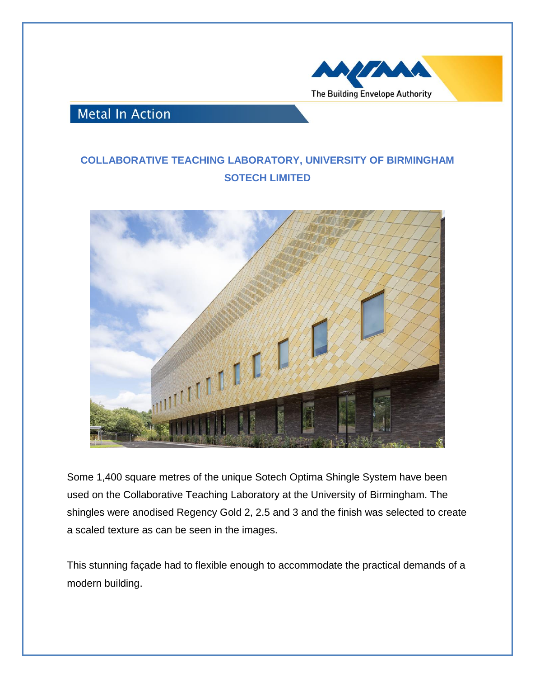

## **Metal In Action**

## **COLLABORATIVE TEACHING LABORATORY, UNIVERSITY OF BIRMINGHAM SOTECH LIMITED**



Some 1,400 square metres of the unique Sotech Optima Shingle System have been used on the Collaborative Teaching Laboratory at the University of Birmingham. The shingles were anodised Regency Gold 2, 2.5 and 3 and the finish was selected to create a scaled texture as can be seen in the images.

This stunning façade had to flexible enough to accommodate the practical demands of a modern building.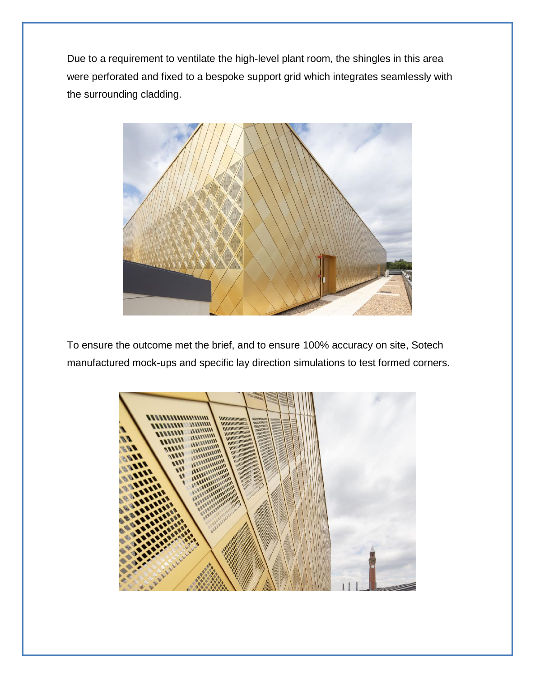Due to a requirement to ventilate the high-level plant room, the shingles in this area were perforated and fixed to a bespoke support grid which integrates seamlessly with the surrounding cladding.



To ensure the outcome met the brief, and to ensure 100% accuracy on site, Sotech manufactured mock-ups and specific lay direction simulations to test formed corners.

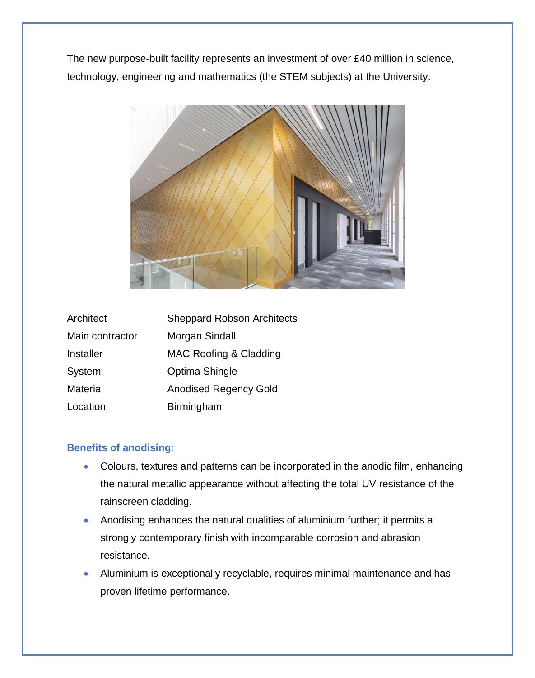The new purpose-built facility represents an investment of over £40 million in science, technology, engineering and mathematics (the STEM subjects) at the University.



| Architect       | <b>Sheppard Robson Architects</b> |
|-----------------|-----------------------------------|
| Main contractor | Morgan Sindall                    |
| Installer       | MAC Roofing & Cladding            |
| System          | Optima Shingle                    |
| Material        | <b>Anodised Regency Gold</b>      |
| Location        | Birmingham                        |

## **Benefits of anodising:**

- Colours, textures and patterns can be incorporated in the anodic film, enhancing the natural metallic appearance without affecting the total UV resistance of the rainscreen cladding.
- Anodising enhances the natural qualities of aluminium further; it permits a strongly contemporary finish with incomparable corrosion and abrasion resistance.
- Aluminium is exceptionally recyclable, requires minimal maintenance and has proven lifetime performance.